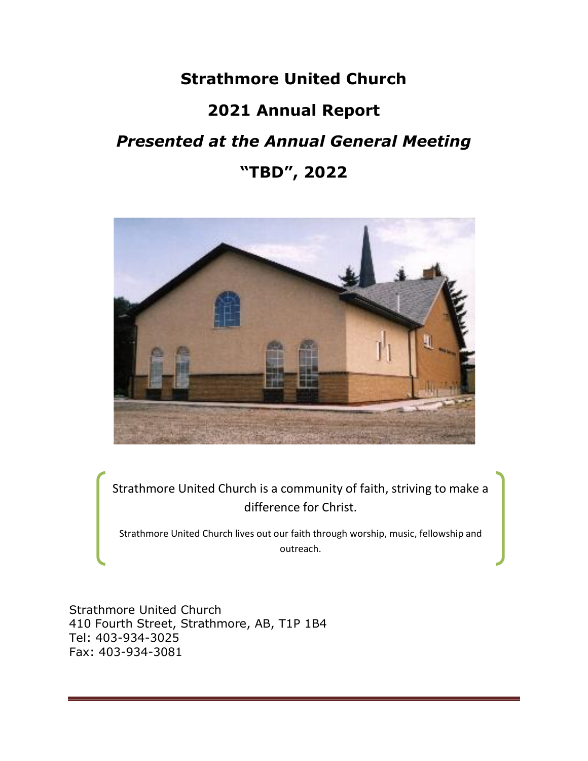# **Strathmore United Church**

# **2021 Annual Report**

# *Presented at the Annual General Meeting*

# **"TBD", 2022**



Strathmore United Church is a community of faith, striving to make a difference for Christ.

Strathmore United Church lives out our faith through worship, music, fellowship and outreach.

Strathmore United Church 410 Fourth Street, Strathmore, AB, T1P 1B4 Tel: 403-934-3025 Fax: 403-934-3081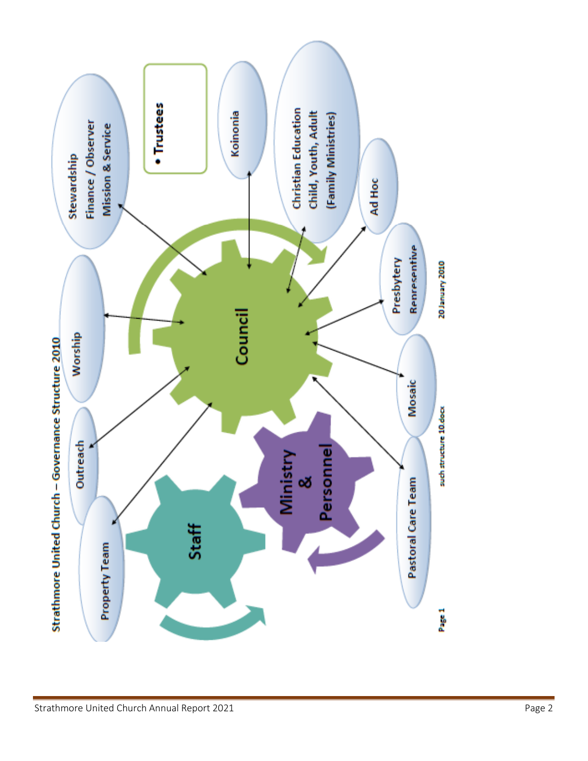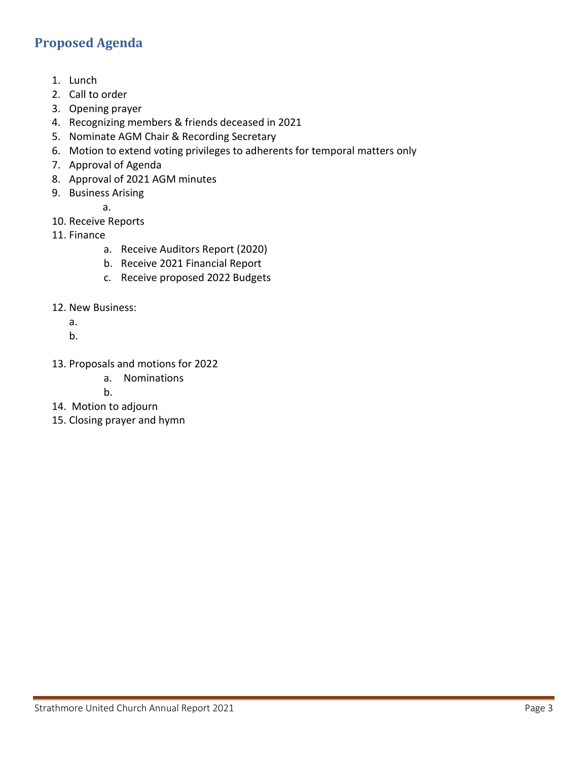# <span id="page-2-0"></span>**Proposed Agenda**

- 1. Lunch
- 2. Call to order
- 3. Opening prayer
- 4. Recognizing members & friends deceased in 2021
- 5. Nominate AGM Chair & Recording Secretary
- 6. Motion to extend voting privileges to adherents for temporal matters only
- 7. Approval of Agenda
- 8. Approval of 2021 AGM minutes
- 9. Business Arising

a.

- 10. Receive Reports
- 11. Finance
	- a. Receive Auditors Report (2020)
		- b. Receive 2021 Financial Report
		- c. Receive proposed 2022 Budgets
- 12. New Business:
	- a.
	- b.
- 13. Proposals and motions for 2022
	- a. Nominations
		- b.
- 14. Motion to adjourn
- 15. Closing prayer and hymn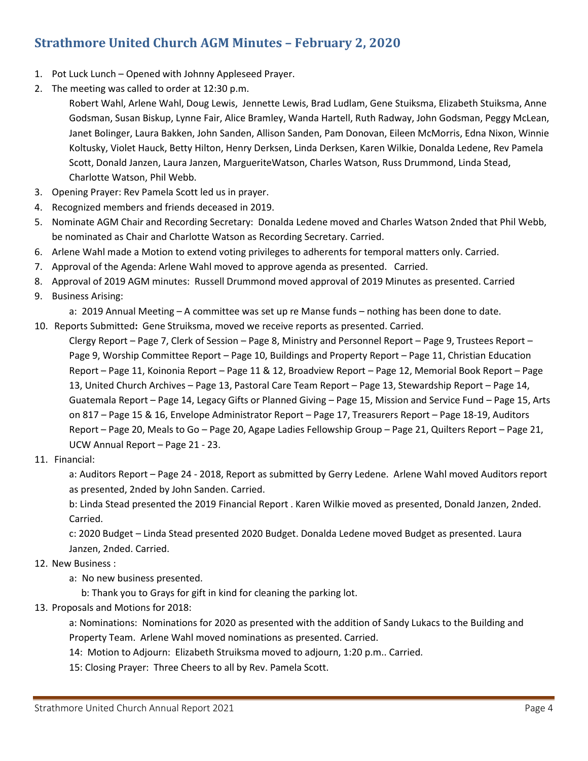# <span id="page-3-0"></span>**Strathmore United Church AGM Minutes – February 2, 2020**

- 1. Pot Luck Lunch Opened with Johnny Appleseed Prayer.
- 2. The meeting was called to order at 12:30 p.m.

Robert Wahl, Arlene Wahl, Doug Lewis, Jennette Lewis, Brad Ludlam, Gene Stuiksma, Elizabeth Stuiksma, Anne Godsman, Susan Biskup, Lynne Fair, Alice Bramley, Wanda Hartell, Ruth Radway, John Godsman, Peggy McLean, Janet Bolinger, Laura Bakken, John Sanden, Allison Sanden, Pam Donovan, Eileen McMorris, Edna Nixon, Winnie Koltusky, Violet Hauck, Betty Hilton, Henry Derksen, Linda Derksen, Karen Wilkie, Donalda Ledene, Rev Pamela Scott, Donald Janzen, Laura Janzen, MargueriteWatson, Charles Watson, Russ Drummond, Linda Stead, Charlotte Watson, Phil Webb.

- 3. Opening Prayer: Rev Pamela Scott led us in prayer.
- 4. Recognized members and friends deceased in 2019.
- 5. Nominate AGM Chair and Recording Secretary: Donalda Ledene moved and Charles Watson 2nded that Phil Webb, be nominated as Chair and Charlotte Watson as Recording Secretary. Carried.
- 6. Arlene Wahl made a Motion to extend voting privileges to adherents for temporal matters only. Carried.
- 7. Approval of the Agenda: Arlene Wahl moved to approve agenda as presented. Carried.
- 8. Approval of 2019 AGM minutes: Russell Drummond moved approval of 2019 Minutes as presented. Carried
- 9. Business Arising:

a: 2019 Annual Meeting – A committee was set up re Manse funds – nothing has been done to date.

10. Reports Submitted**:** Gene Struiksma, moved we receive reports as presented. Carried.

Clergy Report – Page 7, Clerk of Session – Page 8, Ministry and Personnel Report – Page 9, Trustees Report – Page 9, Worship Committee Report – Page 10, Buildings and Property Report – Page 11, Christian Education Report – Page 11, Koinonia Report – Page 11 & 12, Broadview Report – Page 12, Memorial Book Report – Page 13, United Church Archives – Page 13, Pastoral Care Team Report – Page 13, Stewardship Report – Page 14, Guatemala Report – Page 14, Legacy Gifts or Planned Giving – Page 15, Mission and Service Fund – Page 15, Arts on 817 – Page 15 & 16, Envelope Administrator Report – Page 17, Treasurers Report – Page 18-19, Auditors Report – Page 20, Meals to Go – Page 20, Agape Ladies Fellowship Group – Page 21, Quilters Report – Page 21, UCW Annual Report – Page 21 - 23.

11. Financial:

a: Auditors Report – Page 24 - 2018, Report as submitted by Gerry Ledene. Arlene Wahl moved Auditors report as presented, 2nded by John Sanden. Carried.

b: Linda Stead presented the 2019 Financial Report . Karen Wilkie moved as presented, Donald Janzen, 2nded. Carried.

c: 2020 Budget – Linda Stead presented 2020 Budget. Donalda Ledene moved Budget as presented. Laura Janzen, 2nded. Carried.

### 12. New Business :

a: No new business presented.

b: Thank you to Grays for gift in kind for cleaning the parking lot.

### 13. Proposals and Motions for 2018:

a: Nominations: Nominations for 2020 as presented with the addition of Sandy Lukacs to the Building and Property Team. Arlene Wahl moved nominations as presented. Carried.

14: Motion to Adjourn: Elizabeth Struiksma moved to adjourn, 1:20 p.m.. Carried.

15: Closing Prayer: Three Cheers to all by Rev. Pamela Scott.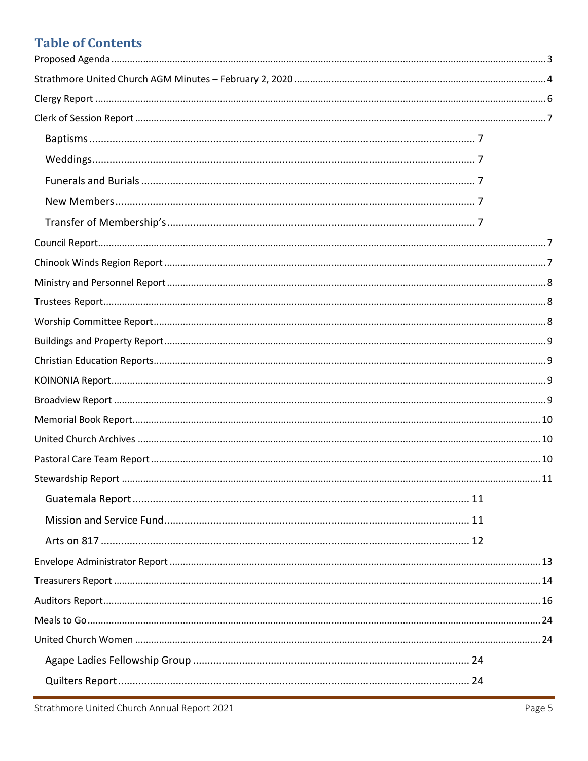# **Table of Contents**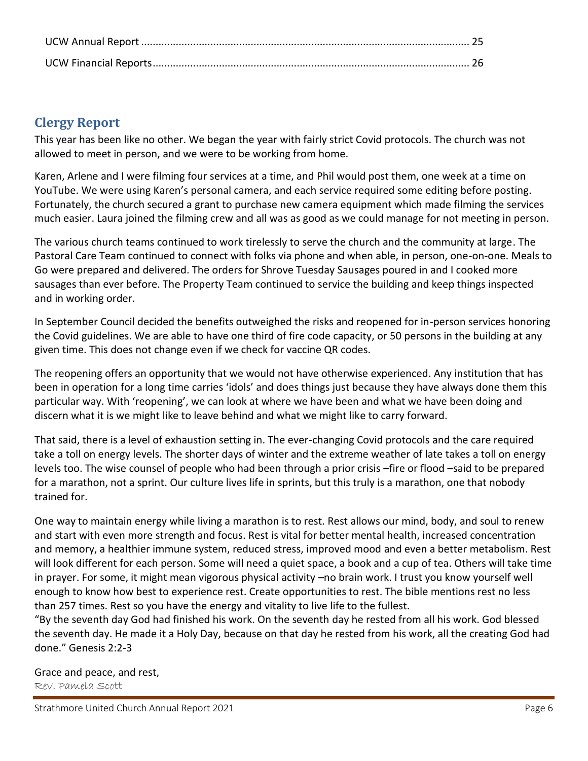# <span id="page-5-0"></span>**Clergy Report**

This year has been like no other. We began the year with fairly strict Covid protocols. The church was not allowed to meet in person, and we were to be working from home.

Karen, Arlene and I were filming four services at a time, and Phil would post them, one week at a time on YouTube. We were using Karen's personal camera, and each service required some editing before posting. Fortunately, the church secured a grant to purchase new camera equipment which made filming the services much easier. Laura joined the filming crew and all was as good as we could manage for not meeting in person.

The various church teams continued to work tirelessly to serve the church and the community at large. The Pastoral Care Team continued to connect with folks via phone and when able, in person, one-on-one. Meals to Go were prepared and delivered. The orders for Shrove Tuesday Sausages poured in and I cooked more sausages than ever before. The Property Team continued to service the building and keep things inspected and in working order.

In September Council decided the benefits outweighed the risks and reopened for in-person services honoring the Covid guidelines. We are able to have one third of fire code capacity, or 50 persons in the building at any given time. This does not change even if we check for vaccine QR codes.

The reopening offers an opportunity that we would not have otherwise experienced. Any institution that has been in operation for a long time carries 'idols' and does things just because they have always done them this particular way. With 'reopening', we can look at where we have been and what we have been doing and discern what it is we might like to leave behind and what we might like to carry forward.

That said, there is a level of exhaustion setting in. The ever-changing Covid protocols and the care required take a toll on energy levels. The shorter days of winter and the extreme weather of late takes a toll on energy levels too. The wise counsel of people who had been through a prior crisis –fire or flood –said to be prepared for a marathon, not a sprint. Our culture lives life in sprints, but this truly is a marathon, one that nobody trained for.

One way to maintain energy while living a marathon is to rest. Rest allows our mind, body, and soul to renew and start with even more strength and focus. Rest is vital for better mental health, increased concentration and memory, a healthier immune system, reduced stress, improved mood and even a better metabolism. Rest will look different for each person. Some will need a quiet space, a book and a cup of tea. Others will take time in prayer. For some, it might mean vigorous physical activity –no brain work. I trust you know yourself well enough to know how best to experience rest. Create opportunities to rest. The bible mentions rest no less than 257 times. Rest so you have the energy and vitality to live life to the fullest.

"By the seventh day God had finished his work. On the seventh day he rested from all his work. God blessed the seventh day. He made it a Holy Day, because on that day he rested from his work, all the creating God had done." Genesis 2:2-3

### Grace and peace, and rest, Rev. Pamela Scott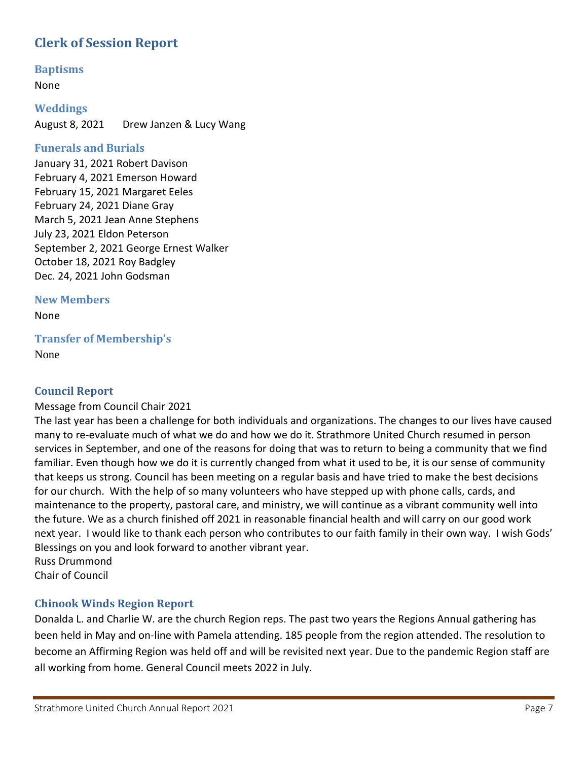# <span id="page-6-0"></span>**Clerk of Session Report**

<span id="page-6-1"></span>**Baptisms**

None

<span id="page-6-2"></span>**Weddings** August 8, 2021 Drew Janzen & Lucy Wang

### <span id="page-6-3"></span>**Funerals and Burials**

January 31, 2021 Robert Davison February 4, 2021 Emerson Howard February 15, 2021 Margaret Eeles February 24, 2021 Diane Gray March 5, 2021 Jean Anne Stephens July 23, 2021 Eldon Peterson September 2, 2021 George Ernest Walker October 18, 2021 Roy Badgley Dec. 24, 2021 John Godsman

<span id="page-6-4"></span>**New Members** 

None

<span id="page-6-5"></span>**Transfer of Membership's**

<span id="page-6-6"></span>None

## **Council Report**

### Message from Council Chair 2021

The last year has been a challenge for both individuals and organizations. The changes to our lives have caused many to re-evaluate much of what we do and how we do it. Strathmore United Church resumed in person services in September, and one of the reasons for doing that was to return to being a community that we find familiar. Even though how we do it is currently changed from what it used to be, it is our sense of community that keeps us strong. Council has been meeting on a regular basis and have tried to make the best decisions for our church. With the help of so many volunteers who have stepped up with phone calls, cards, and maintenance to the property, pastoral care, and ministry, we will continue as a vibrant community well into the future. We as a church finished off 2021 in reasonable financial health and will carry on our good work next year. I would like to thank each person who contributes to our faith family in their own way. I wish Gods' Blessings on you and look forward to another vibrant year. Russ Drummond

Chair of Council

### <span id="page-6-7"></span>**Chinook Winds Region Report**

Donalda L. and Charlie W. are the church Region reps. The past two years the Regions Annual gathering has been held in May and on-line with Pamela attending. 185 people from the region attended. The resolution to become an Affirming Region was held off and will be revisited next year. Due to the pandemic Region staff are all working from home. General Council meets 2022 in July.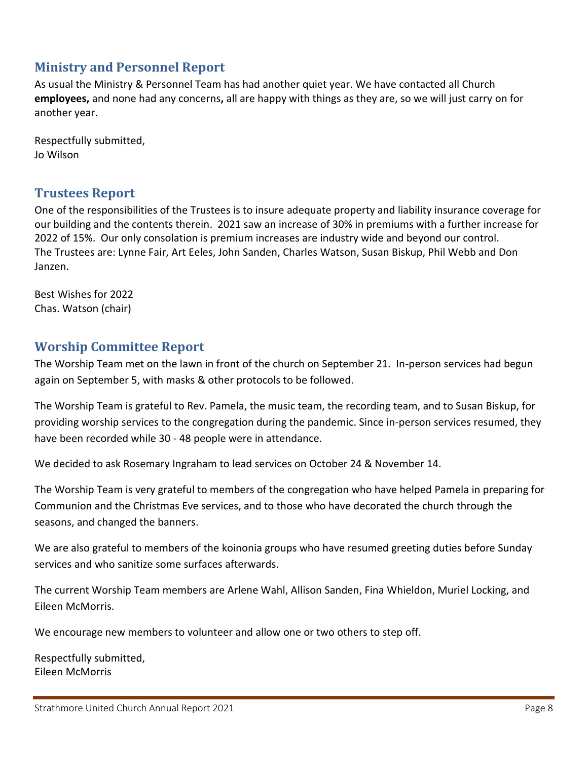# <span id="page-7-0"></span>**Ministry and Personnel Report**

As usual the Ministry & Personnel Team has had another quiet year. We have contacted all Church **employees,** and none had any concerns**,** all are happy with things as they are, so we will just carry on for another year.

Respectfully submitted, Jo Wilson

# <span id="page-7-1"></span>**Trustees Report**

One of the responsibilities of the Trustees is to insure adequate property and liability insurance coverage for our building and the contents therein. 2021 saw an increase of 30% in premiums with a further increase for 2022 of 15%. Our only consolation is premium increases are industry wide and beyond our control. The Trustees are: Lynne Fair, Art Eeles, John Sanden, Charles Watson, Susan Biskup, Phil Webb and Don Janzen.

Best Wishes for 2022 Chas. Watson (chair)

## <span id="page-7-2"></span>**Worship Committee Report**

The Worship Team met on the lawn in front of the church on September 21. In-person services had begun again on September 5, with masks & other protocols to be followed.

The Worship Team is grateful to Rev. Pamela, the music team, the recording team, and to Susan Biskup, for providing worship services to the congregation during the pandemic. Since in-person services resumed, they have been recorded while 30 - 48 people were in attendance.

We decided to ask Rosemary Ingraham to lead services on October 24 & November 14.

The Worship Team is very grateful to members of the congregation who have helped Pamela in preparing for Communion and the Christmas Eve services, and to those who have decorated the church through the seasons, and changed the banners.

We are also grateful to members of the koinonia groups who have resumed greeting duties before Sunday services and who sanitize some surfaces afterwards.

The current Worship Team members are Arlene Wahl, Allison Sanden, Fina Whieldon, Muriel Locking, and Eileen McMorris.

We encourage new members to volunteer and allow one or two others to step off.

Respectfully submitted, Eileen McMorris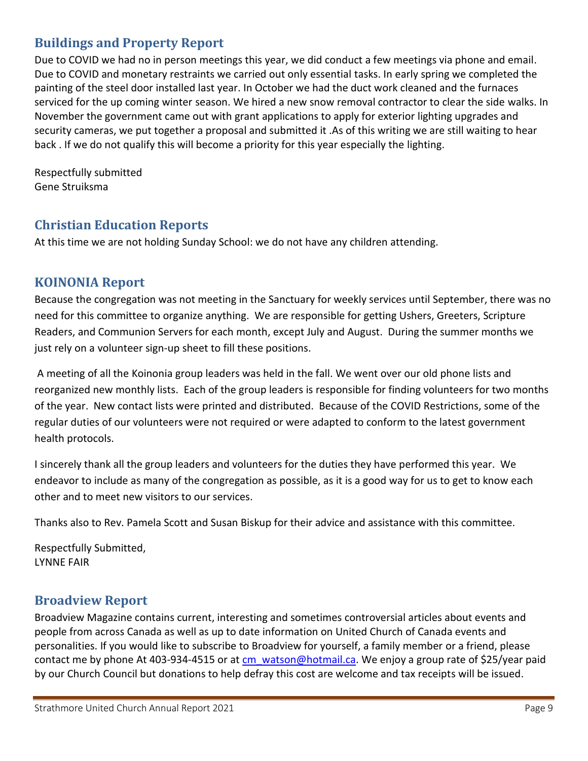# <span id="page-8-0"></span>**Buildings and Property Report**

Due to COVID we had no in person meetings this year, we did conduct a few meetings via phone and email. Due to COVID and monetary restraints we carried out only essential tasks. In early spring we completed the painting of the steel door installed last year. In October we had the duct work cleaned and the furnaces serviced for the up coming winter season. We hired a new snow removal contractor to clear the side walks. In November the government came out with grant applications to apply for exterior lighting upgrades and security cameras, we put together a proposal and submitted it .As of this writing we are still waiting to hear back . If we do not qualify this will become a priority for this year especially the lighting.

Respectfully submitted Gene Struiksma

## <span id="page-8-1"></span>**Christian Education Reports**

At this time we are not holding Sunday School: we do not have any children attending.

## <span id="page-8-2"></span>**KOINONIA Report**

Because the congregation was not meeting in the Sanctuary for weekly services until September, there was no need for this committee to organize anything. We are responsible for getting Ushers, Greeters, Scripture Readers, and Communion Servers for each month, except July and August. During the summer months we just rely on a volunteer sign-up sheet to fill these positions.

A meeting of all the Koinonia group leaders was held in the fall. We went over our old phone lists and reorganized new monthly lists. Each of the group leaders is responsible for finding volunteers for two months of the year. New contact lists were printed and distributed. Because of the COVID Restrictions, some of the regular duties of our volunteers were not required or were adapted to conform to the latest government health protocols.

I sincerely thank all the group leaders and volunteers for the duties they have performed this year. We endeavor to include as many of the congregation as possible, as it is a good way for us to get to know each other and to meet new visitors to our services.

Thanks also to Rev. Pamela Scott and Susan Biskup for their advice and assistance with this committee.

Respectfully Submitted, LYNNE FAIR

# <span id="page-8-3"></span>**Broadview Report**

Broadview Magazine contains current, interesting and sometimes controversial articles about events and people from across Canada as well as up to date information on United Church of Canada events and personalities. If you would like to subscribe to Broadview for yourself, a family member or a friend, please contact me by phone At 403-934-4515 or at [cm\\_watson@hotmail.ca.](mailto:cm_watson@hotmail.ca) We enjoy a group rate of \$25/year paid by our Church Council but donations to help defray this cost are welcome and tax receipts will be issued.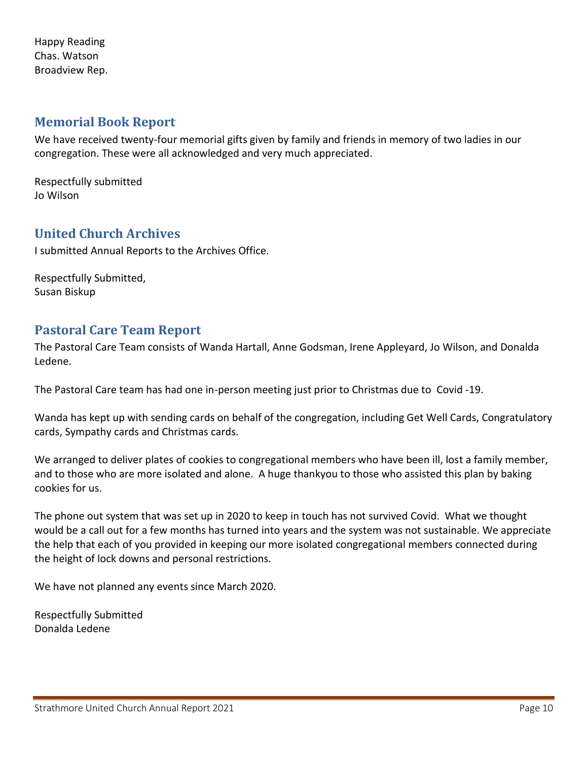Happy Reading Chas. Watson Broadview Rep.

## <span id="page-9-0"></span>**Memorial Book Report**

We have received twenty-four memorial gifts given by family and friends in memory of two ladies in our congregation. These were all acknowledged and very much appreciated.

Respectfully submitted Jo Wilson

## <span id="page-9-1"></span>**United Church Archives**

I submitted Annual Reports to the Archives Office.

Respectfully Submitted, Susan Biskup

## <span id="page-9-2"></span>**Pastoral Care Team Report**

The Pastoral Care Team consists of Wanda Hartall, Anne Godsman, Irene Appleyard, Jo Wilson, and Donalda Ledene.

The Pastoral Care team has had one in-person meeting just prior to Christmas due to Covid -19.

Wanda has kept up with sending cards on behalf of the congregation, including Get Well Cards, Congratulatory cards, Sympathy cards and Christmas cards.

We arranged to deliver plates of cookies to congregational members who have been ill, lost a family member, and to those who are more isolated and alone. A huge thankyou to those who assisted this plan by baking cookies for us.

The phone out system that was set up in 2020 to keep in touch has not survived Covid. What we thought would be a call out for a few months has turned into years and the system was not sustainable. We appreciate the help that each of you provided in keeping our more isolated congregational members connected during the height of lock downs and personal restrictions.

We have not planned any events since March 2020.

Respectfully Submitted Donalda Ledene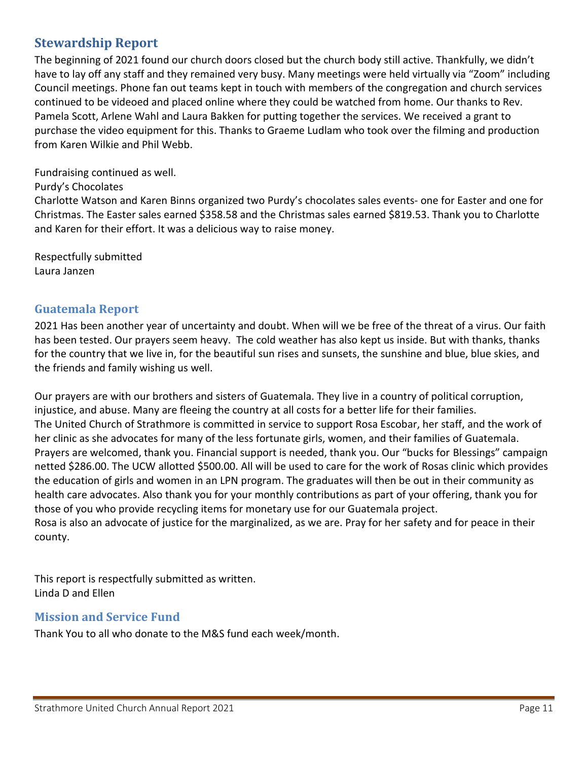# <span id="page-10-0"></span>**Stewardship Report**

The beginning of 2021 found our church doors closed but the church body still active. Thankfully, we didn't have to lay off any staff and they remained very busy. Many meetings were held virtually via "Zoom" including Council meetings. Phone fan out teams kept in touch with members of the congregation and church services continued to be videoed and placed online where they could be watched from home. Our thanks to Rev. Pamela Scott, Arlene Wahl and Laura Bakken for putting together the services. We received a grant to purchase the video equipment for this. Thanks to Graeme Ludlam who took over the filming and production from Karen Wilkie and Phil Webb.

Fundraising continued as well.

Purdy's Chocolates

Charlotte Watson and Karen Binns organized two Purdy's chocolates sales events- one for Easter and one for Christmas. The Easter sales earned \$358.58 and the Christmas sales earned \$819.53. Thank you to Charlotte and Karen for their effort. It was a delicious way to raise money.

Respectfully submitted Laura Janzen

### <span id="page-10-1"></span>**Guatemala Report**

2021 Has been another year of uncertainty and doubt. When will we be free of the threat of a virus. Our faith has been tested. Our prayers seem heavy. The cold weather has also kept us inside. But with thanks, thanks for the country that we live in, for the beautiful sun rises and sunsets, the sunshine and blue, blue skies, and the friends and family wishing us well.

Our prayers are with our brothers and sisters of Guatemala. They live in a country of political corruption, injustice, and abuse. Many are fleeing the country at all costs for a better life for their families. The United Church of Strathmore is committed in service to support Rosa Escobar, her staff, and the work of her clinic as she advocates for many of the less fortunate girls, women, and their families of Guatemala. Prayers are welcomed, thank you. Financial support is needed, thank you. Our "bucks for Blessings" campaign netted \$286.00. The UCW allotted \$500.00. All will be used to care for the work of Rosas clinic which provides the education of girls and women in an LPN program. The graduates will then be out in their community as health care advocates. Also thank you for your monthly contributions as part of your offering, thank you for those of you who provide recycling items for monetary use for our Guatemala project. Rosa is also an advocate of justice for the marginalized, as we are. Pray for her safety and for peace in their

county.

This report is respectfully submitted as written. Linda D and Ellen

### <span id="page-10-2"></span>**Mission and Service Fund**

Thank You to all who donate to the M&S fund each week/month.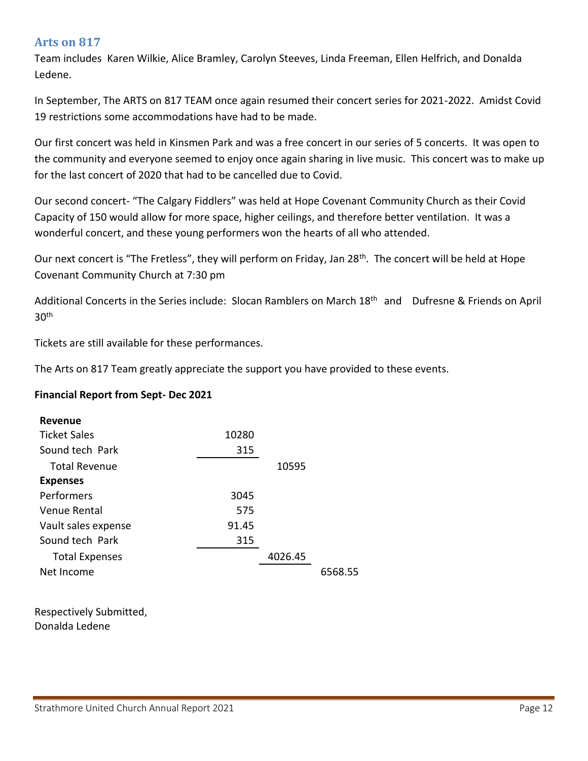### <span id="page-11-0"></span>**Arts on 817**

Team includes Karen Wilkie, Alice Bramley, Carolyn Steeves, Linda Freeman, Ellen Helfrich, and Donalda Ledene.

In September, The ARTS on 817 TEAM once again resumed their concert series for 2021-2022. Amidst Covid 19 restrictions some accommodations have had to be made.

Our first concert was held in Kinsmen Park and was a free concert in our series of 5 concerts. It was open to the community and everyone seemed to enjoy once again sharing in live music. This concert was to make up for the last concert of 2020 that had to be cancelled due to Covid.

Our second concert- "The Calgary Fiddlers" was held at Hope Covenant Community Church as their Covid Capacity of 150 would allow for more space, higher ceilings, and therefore better ventilation. It was a wonderful concert, and these young performers won the hearts of all who attended.

Our next concert is "The Fretless", they will perform on Friday, Jan 28<sup>th</sup>. The concert will be held at Hope Covenant Community Church at 7:30 pm

Additional Concerts in the Series include: Slocan Ramblers on March 18<sup>th</sup> and Dufresne & Friends on April  $30<sup>th</sup>$ 

Tickets are still available for these performances.

The Arts on 817 Team greatly appreciate the support you have provided to these events.

### **Financial Report from Sept- Dec 2021**

| <b>Revenue</b>        |       |         |         |
|-----------------------|-------|---------|---------|
| <b>Ticket Sales</b>   | 10280 |         |         |
| Sound tech Park       | 315   |         |         |
| <b>Total Revenue</b>  |       | 10595   |         |
| <b>Expenses</b>       |       |         |         |
| Performers            | 3045  |         |         |
| Venue Rental          | 575   |         |         |
| Vault sales expense   | 91.45 |         |         |
| Sound tech Park       | 315   |         |         |
| <b>Total Expenses</b> |       | 4026.45 |         |
| Net Income            |       |         | 6568.55 |
|                       |       |         |         |

Respectively Submitted, Donalda Ledene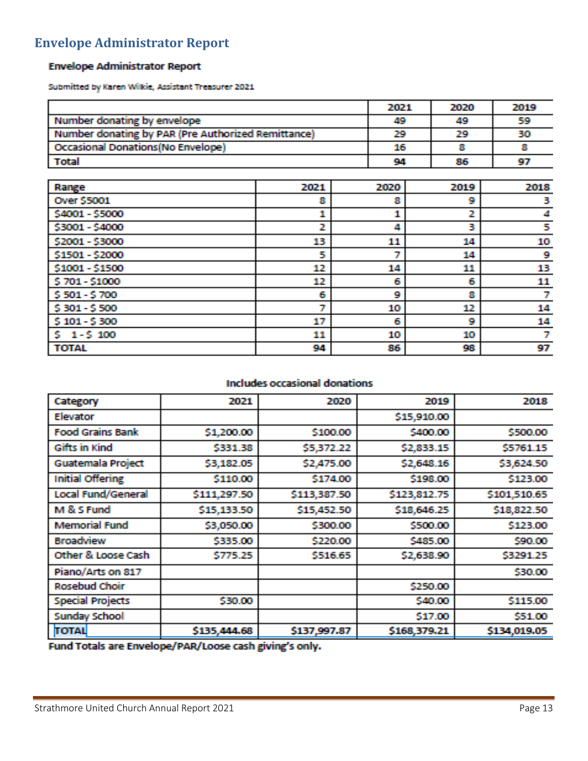# <span id="page-12-0"></span>**Envelope Administrator Report**

### **Envelope Administrator Report**

Submitted by Karen Wilkie, Assistant Treasurer 2021

|                                                    |      | 2021 | 2020 | 2019 |
|----------------------------------------------------|------|------|------|------|
| Number donating by envelope                        |      | 49   | 49   | 59   |
| Number donating by PAR (Pre Authorized Remittance) |      | 29   | 29   | 30   |
| <b>Occasional Donations (No Envelope)</b>          |      | 16   |      |      |
| <b>Total</b>                                       |      | 94   | 86   | 97   |
|                                                    |      |      |      |      |
| Range                                              | 2021 | 2020 | 2019 | 2018 |
| <b>Over \$5001</b>                                 | в    |      |      |      |
| <b>CARRY CROOM</b>                                 |      |      |      |      |

| \$4001 - \$5000 | a. |    |    |    |
|-----------------|----|----|----|----|
| \$3001 - \$4000 | 2  | А  | 3  | 5  |
| \$2001 - \$3000 | 13 | 11 | 14 | 10 |
| \$1501 - \$2000 | 5  |    | 14 | 9  |
| \$1001 - \$1500 | 12 | 14 | 11 | 13 |
| \$701-\$1000    | 12 | 6  | 6  | 11 |
| \$501 - \$700   | G. | ø  | 8  |    |
| \$301-\$500     | 7  | 10 | 12 | 14 |
| $$101 - $300$   | 17 | 6  | 9  | 14 |
| $5 - 1 - 5$ 100 | 11 | 10 | 10 |    |
| <b>TOTAL</b>    | 94 | 86 | 98 | 97 |

### **Includes occasional donations**

| Category                 | 2021         | 2020         | 2019         | 2018         |
|--------------------------|--------------|--------------|--------------|--------------|
| Elevator                 |              |              | \$15,910.00  |              |
| <b>Food Grains Bank</b>  | \$1,200.00   | \$100.00     | \$400.00     | \$500,00     |
| Gifts in Kind            | \$331.38     | \$5,372.22   | \$2,833.15   | \$5761.15    |
| <b>Guatemala Project</b> | \$3,182.05   | \$2,475.00   | \$2,648.16   | \$3,624.50   |
| <b>Initial Offering</b>  | \$110.00     | \$174.00     | \$198.00     | \$123.00     |
| Local Fund/General       | \$111,297.50 | \$113,387.50 | \$123,812.75 | \$101,510.65 |
| M & S Fund               | \$15,133.50  | \$15,452.50  | \$18,646.25  | \$18,822.50  |
| <b>Memorial Fund</b>     | \$3,050.00   | \$300.00     | \$500.00     | \$123,00     |
| <b>Broadview</b>         | \$335.00     | \$220.00     | \$485.00     | \$90,00      |
| Other & Loose Cash       | \$775.25     | \$516.65     | \$2,638.90   | \$3291.25    |
| Piano/Arts on 817        |              |              |              | \$30.00      |
| <b>Rosebud Choir</b>     |              |              | \$250.00     |              |
| <b>Special Projects</b>  | \$30.00      |              | \$40.00      | \$115,00     |
| <b>Sunday School</b>     |              |              | \$17.00      | \$51.00      |
| <b>TOTAL</b>             | \$135,444.68 | \$137,997.87 | \$168,379.21 | \$134,019.05 |

Fund Totals are Envelope/PAR/Loose cash giving's only.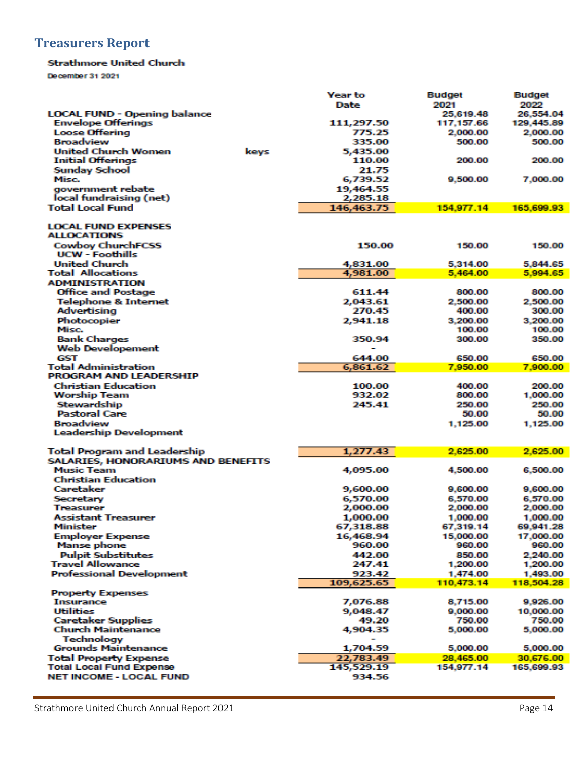# <span id="page-13-0"></span>**Treasurers Report**

#### **Strathmore United Church**

December 31 2021

|                                                         | <b>Year to</b>            | <b>Budget</b>        | <b>Budget</b>        |
|---------------------------------------------------------|---------------------------|----------------------|----------------------|
|                                                         | <b>Date</b>               | 2021                 | 2022                 |
| <b>LOCAL FUND - Opening balance</b>                     |                           | 25,619.48            | 26,554.04            |
| <b>Envelope Offerings</b>                               | 111,297.50                | 117,157.66           | 129,445.89           |
| <b>Loose Offering</b><br><b>Broadview</b>               | 775.25<br>335.00          | 2,000.00<br>500.00   | 2,000.00<br>500.00   |
| <b>United Church Women</b>                              |                           |                      |                      |
| keys<br><b>Initial Offerings</b>                        | 5,435.00<br><b>110.00</b> | 200.00               | 200.00               |
| <b>Sunday School</b>                                    | 21.75                     |                      |                      |
| Misc.                                                   | 6,739.52                  | 9,500.00             | 7,000.00             |
| government rebate                                       | 19,464.55                 |                      |                      |
| local fundraising (net)                                 | 2,285.18                  |                      |                      |
| Total Local Fund                                        | 146,463.75                | 154,977.14           | 165,699.93           |
| <b>LOCAL FUND EXPENSES</b>                              |                           |                      |                      |
| <b>ALLOCATIONS</b>                                      |                           |                      |                      |
| <b>Cowboy ChurchFCSS</b>                                | 150.00                    | 150.00               | 150.00               |
| <b>UCW - Foothills</b>                                  |                           |                      |                      |
| <b>United Church</b><br><b>Total Allocations</b>        | 4,831.00<br>4,981.00      | 5,314.00<br>5,464.00 | 5,844.65<br>5,994.65 |
| <b>ADMINISTRATION</b>                                   |                           |                      |                      |
| <b>Office and Postage</b>                               | 611.44                    | 800.00               | 800.00               |
| <b>Telephone &amp; Internet</b>                         | 2,043.61                  | 2,500.00             | 2,500.00             |
| Advertising                                             | 270.45                    | 400.00               | 300.00               |
| Photocopier                                             | 2,941.18                  | 3,200.00             | 3.200.00             |
| Misc.                                                   |                           | 100.00               | 100.00               |
| <b>Bank Charges</b>                                     | 350.94                    | 300.00               | 350.00               |
| <b>Web Developement</b>                                 |                           |                      |                      |
| GST                                                     | 644.00                    | 650.00               | 650.00               |
| <b>Total Administration</b>                             | 6,861.62                  | 7,950.00             | 7,900.00             |
| <b>PROGRAM AND LEADERSHIP</b>                           |                           |                      |                      |
| <b>Christian Education</b>                              | 100.00                    | 400.00               | 200.00               |
| <b>Worship Team</b>                                     | 932.02                    | 800.00               | 1,000.00             |
| Stewardship<br><b>Pastoral Care</b>                     | 245.41                    | 250.00<br>50.00      | 250.00               |
| <b>Broadview</b>                                        |                           |                      | 50.00                |
| <b>Leadership Development</b>                           |                           | 1,125.00             | 1,125.00             |
|                                                         |                           |                      |                      |
| Total Program and Leadership                            | 1,277.43                  | 2,625.00             | 2,625.00             |
| SALARIES, HONORARIUMS AND BENEFITS<br><b>Music Team</b> |                           |                      |                      |
| <b>Christian Education</b>                              | 4,095.00                  | 4.500.00             | 6,500.00             |
| Caretaker                                               | 9,600.00                  | 9,600.00             | 9,600.00             |
| Secretary                                               | 6,570.00                  | 6,570.00             | 6,570.00             |
| <b>Treasurer</b>                                        | 2,000.00                  | 2,000.00             | 2,000.00             |
| <b>Assistant Treasurer</b>                              | 1,000.00                  | 1.000.00             | 1,000.00             |
| <b>Minister</b>                                         | 67,318.88                 | 67,319.14            | 69,941.28            |
| <b>Employer Expense</b>                                 | 16,468.94                 | 15,000.00            | 17,000.00            |
| <b>Manse phone</b>                                      | 960.00                    | 960.00               | 960.00               |
| <b>Pulpit Substitutes</b>                               | 442.00                    | 850.00               | 2,240.00             |
| <b>Travel Allowance</b>                                 | 247.41                    | 1,200.00             | 1,200.00             |
| <b>Professional Development</b>                         | 923.42                    | 1.474.00             | 1,493.00             |
|                                                         | 109,625.65                | 110,473.14           | 118,504.28           |
| <b>Property Expenses</b>                                |                           |                      |                      |
| <b>Insurance</b><br><b>Utilities</b>                    | 7,076.88                  | 8,715.00             | 9,926.00             |
| <b>Caretaker Supplies</b>                               | 9,048.47<br>49.20         | 9,000.00<br>750.00   | 10,000.00<br>750.00  |
| Church Maintenance                                      | 4,904.35                  | 5,000.00             | 5,000.00             |
| Technology                                              |                           |                      |                      |
| <b>Grounds Maintenance</b>                              | 1,704.59                  | 5,000.00             | 5,000.00             |
| <b>Total Property Expense</b>                           | 22,783.49                 | 28,465.00            | 30,676.00            |
| <b>Total Local Fund Expense</b>                         | 145,529.19                | 154,977.14           | 165,699.93           |
| <b>NET INCOME - LOCAL FUND</b>                          | 934.56                    |                      |                      |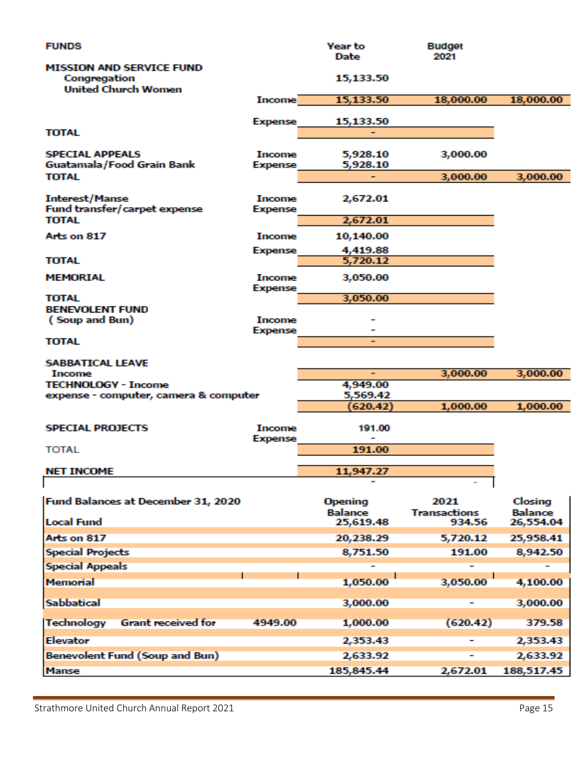| <b>FUNDS</b>                                                                  |                          | Year to<br>Date                  | <b>Budget</b><br>2021       |                           |
|-------------------------------------------------------------------------------|--------------------------|----------------------------------|-----------------------------|---------------------------|
| <b>MISSION AND SERVICE FUND</b><br>Congregation<br><b>United Church Women</b> |                          | 15,133.50                        |                             |                           |
|                                                                               | <b>Income</b>            | 15,133.50                        | 18,000.00                   | 18,000.00                 |
|                                                                               | <b>Expense</b>           | 15,133.50                        |                             |                           |
| <b>TOTAL</b>                                                                  |                          |                                  |                             |                           |
| <b>SPECIAL APPEALS</b><br>Guatamala/Food Grain Bank<br><b>TOTAL</b>           | Income<br><b>Expense</b> | 5,928.10<br>5,928.10<br>۰        | 3,000.00<br>3,000.00        | 3,000.00                  |
|                                                                               |                          |                                  |                             |                           |
| <b>Interest/Manse</b><br>Fund transfer/carpet expense                         | Income<br><b>Expense</b> | 2,672.01                         |                             |                           |
| <b>TOTAL</b>                                                                  |                          | 2,672.01                         |                             |                           |
| <b>Arts on 817</b>                                                            | Income                   | 10,140.00                        |                             |                           |
| TOTAL                                                                         | <b>Expense</b>           | 4,419.88<br>5,720.12             |                             |                           |
| MEMORIAL                                                                      | Income<br><b>Expense</b> | 3,050.00                         |                             |                           |
| TOTAL                                                                         |                          | 3,050.00                         |                             |                           |
| <b>BENEVOLENT FUND</b><br>(Soup and Bun)                                      | Income                   |                                  |                             |                           |
| TOTAL                                                                         | <b>Expense</b>           |                                  |                             |                           |
| <b>SABBATICAL LEAVE</b>                                                       |                          |                                  |                             |                           |
| Income<br><b>TECHNOLOGY - Income</b>                                          |                          | ۰<br>4,949.00                    | 3,000.00                    | 3,000.00                  |
| expense - computer, camera & computer                                         |                          | 5,569.42                         |                             |                           |
|                                                                               |                          | 620.42)                          | 1,000.00                    | 1,000.00                  |
| <b>SPECIAL PROJECTS</b>                                                       | Income<br><b>Expense</b> | 191.00                           |                             |                           |
| <b>TOTAL</b>                                                                  |                          | 191.00                           |                             |                           |
| <b>NET INCOME</b>                                                             |                          | 11,947.27                        |                             |                           |
|                                                                               |                          |                                  |                             |                           |
| Fund Balances at December 31, 2020                                            |                          | <b>Opening</b><br><b>Balance</b> | 2021<br><b>Transactions</b> | Closing<br><b>Balance</b> |
| <b>Local Fund</b>                                                             |                          | 25,619.48                        | 934.56                      | 26,554.04                 |
| Arts on 817                                                                   |                          | 20,238.29                        | 5,720.12                    | 25,958.41                 |
| <b>Special Projects</b>                                                       |                          | 8,751.50                         | 191.00                      | 8,942.50                  |
| <b>Special Appeals</b>                                                        |                          |                                  |                             |                           |
| Memorial                                                                      |                          | 1,050.00                         | 3,050.00                    | 4,100.00                  |
| <b>Sabbatical</b>                                                             |                          | 3,000.00                         |                             | 3,000.00                  |
| Technology<br><b>Grant received for</b>                                       | 4949.00                  | 1,000.00                         | (620.42)                    | 379.58                    |
| <b>Elevator</b>                                                               |                          | 2,353.43                         |                             | 2,353.43                  |
| Benevolent Fund (Soup and Bun)                                                |                          | 2,633.92                         |                             | 2,633.92                  |
| <b>Manse</b>                                                                  |                          | 185,845.44                       | 2,672.01                    | 188,517.45                |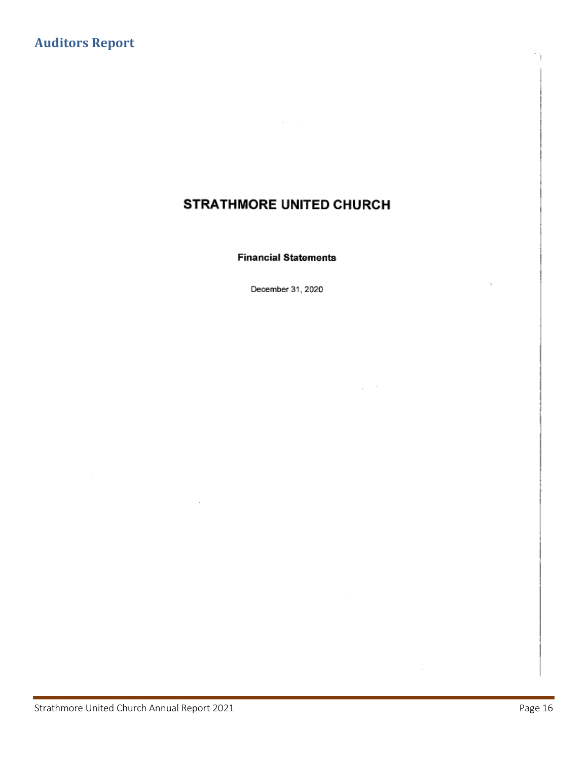# <span id="page-15-0"></span>**Auditors Report**

# STRATHMORE UNITED CHURCH

#### **Financial Statements**

December 31, 2020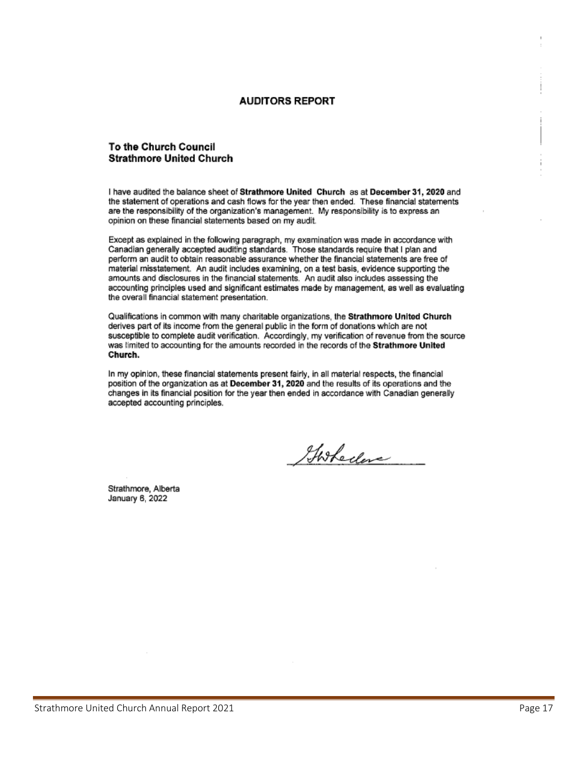#### **AUDITORS REPORT**

#### **To the Church Council Strathmore United Church**

I have audited the balance sheet of Strathmore United Church as at December 31, 2020 and the statement of operations and cash flows for the year then ended. These financial statements are the responsibility of the organization's management. My responsibility is to express an opinion on these financial statements based on my audit.

Except as explained in the following paragraph, my examination was made in accordance with Canadian generally accepted auditing standards. Those standards require that I plan and perform an audit to obtain reasonable assurance whether the financial statements are free of material misstatement. An audit includes examining, on a test basis, evidence supporting the amounts and disclosures in the financial statements. An audit also includes assessing the accounting principles used and significant estimates made by management, as well as evaluating the overall financial statement presentation.

Qualifications in common with many charitable organizations, the Strathmore United Church derives part of its income from the general public in the form of donations which are not susceptible to complete audit verification. Accordingly, my verification of revenue from the source was limited to accounting for the amounts recorded in the records of the Strathmore United Church.

In my opinion, these financial statements present fairly, in all material respects, the financial position of the organization as at December 31, 2020 and the results of its operations and the changes in its financial position for the year then ended in accordance with Canadian generally accepted accounting principles.

Goshedere

Strathmore, Alberta January 6, 2022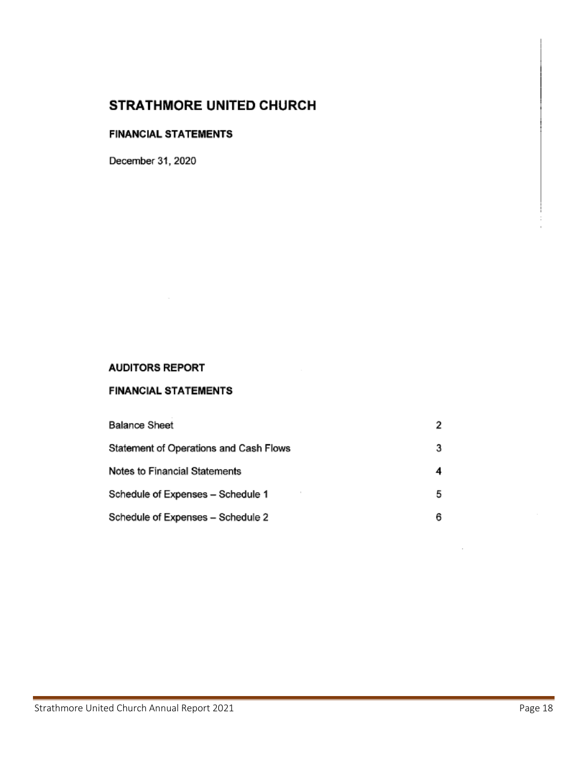### **FINANCIAL STATEMENTS**

December 31, 2020

### **AUDITORS REPORT**

### **FINANCIAL STATEMENTS**

| <b>Balance Sheet</b>                   |   |
|----------------------------------------|---|
| Statement of Operations and Cash Flows |   |
| Notes to Financial Statements          |   |
| Schedule of Expenses - Schedule 1      | 5 |
| Schedule of Expenses - Schedule 2      |   |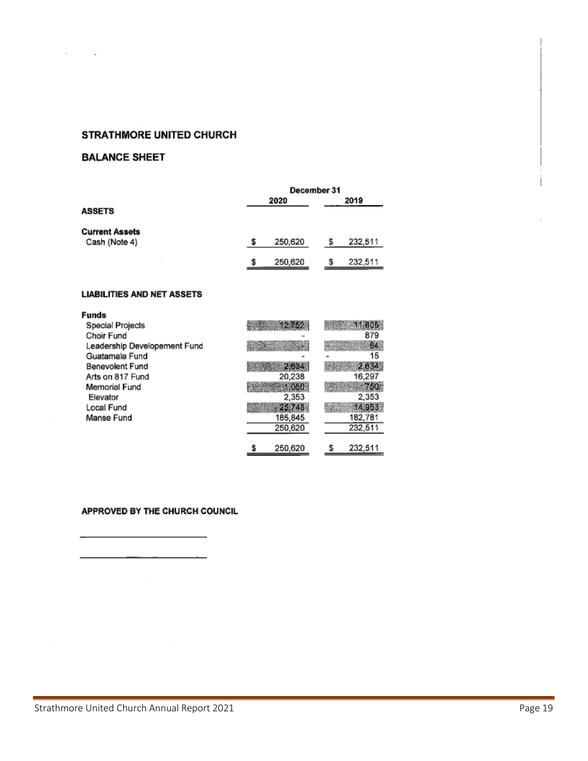### **BALANCE SHEET**

 $\sim$ 

 $\sim$ 

|                       | December 31 |  |         |
|-----------------------|-------------|--|---------|
|                       | 2020        |  | 2019    |
| <b>ASSETS</b>         |             |  |         |
| <b>Current Assets</b> |             |  |         |
| Cash (Note 4)         | 250,620     |  | 232,511 |
|                       | 250,620     |  | 232,511 |

#### **LIABILITIES AND NET ASSETS**

| <b>Funds</b>                 |                                 |         |
|------------------------------|---------------------------------|---------|
| Special Projects             |                                 |         |
| Choir Fund                   |                                 | 879     |
| Leadership Developement Fund |                                 |         |
| Guatamala Fund               |                                 | 15      |
| Benevolent Fund              | 2.6182                          |         |
| Arts on 817 Fund             | 20,238                          | 16,297  |
| Memorial Fund                | <b><i>Mathematic 1, 050</i></b> |         |
| Elevator                     | 2,353                           | 2,353   |
| Local Fund                   | - 25.748                        | 14 963  |
| Manse Fund                   | 185,845                         | 182,781 |
|                              | 250,620                         | 232,511 |
|                              |                                 |         |
|                              | 250,620                         | 232,511 |

#### APPROVED BY THE CHURCH COUNCIL

L.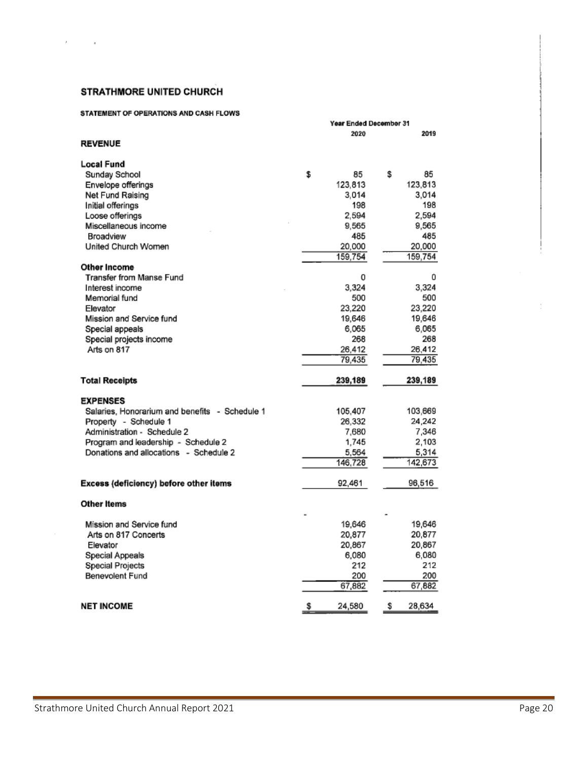#### STATEMENT OF OPERATIONS AND CASH FLOWS

|                                                | Year Ended December 31 |              |  |
|------------------------------------------------|------------------------|--------------|--|
|                                                | 2020                   | 2019         |  |
| <b>REVENUE</b>                                 |                        |              |  |
| Local Fund                                     |                        |              |  |
| Sunday School<br>\$                            | 85                     | \$<br>85     |  |
| Envelope offerings                             | 123,813                | 123,813      |  |
| Net Fund Raising                               | 3,014                  | 3.014        |  |
| Initial offerings                              | 198                    | 198          |  |
| Loose offerings                                | 2,594                  | 2,594        |  |
| Miscellaneous income                           | 9,565                  | 9,565        |  |
| Broadview                                      | 485                    | 485          |  |
| United Church Women                            | 20.000                 | 20.000       |  |
|                                                | 159,754                | 159,754      |  |
| Other Income                                   |                        |              |  |
| Transfer from Manse Fund                       | 0                      | 0            |  |
| Interest income                                | 3.324                  | 3,324        |  |
| Memorial fund                                  | 500                    | 500          |  |
| Elevator                                       | 23,220                 | 23,220       |  |
| Mission and Service fund                       | 19,646                 | 19,646       |  |
| Special appeals                                | 6,065                  | 6,065        |  |
| Special projects income                        | 268                    | 268          |  |
| Arts on 817                                    | 26,412                 | 26,412       |  |
|                                                | 79,435                 | 79,435       |  |
| <b>Total Receipts</b>                          | 239,189                | 239,189      |  |
| <b>EXPENSES</b>                                |                        |              |  |
| Salaries, Honorarium and benefits - Schedule 1 | 105,407                | 103,669      |  |
| Property - Schedule 1                          | 26,332                 | 24,242       |  |
| Administration - Schedule 2                    | 7.680                  | 7,346        |  |
| Program and leadership - Schedule 2            | 1,745                  | 2,103        |  |
| Donations and allocations - Schedule 2         | 5,564                  | 5,314        |  |
|                                                | 146,728                | 142,673      |  |
|                                                | 92,461                 |              |  |
| Excess (deficiency) before other items         |                        | 96,516       |  |
| <b>Other Items</b>                             |                        |              |  |
| Mission and Service fund                       | 19,646                 | 19.646       |  |
| Arts on 817 Concerts                           | 20,877                 | 20.877       |  |
| Elevator                                       | 20,867                 | 20.867       |  |
| Special Appeals                                | 6,080                  | 6,080        |  |
| <b>Special Projects</b>                        | 212                    | 212          |  |
| Benevolent Fund                                | 200                    | 200          |  |
|                                                | 67,882                 | 67,882       |  |
| <b>NET INCOME</b>                              | \$<br>24,580           | \$<br>28,634 |  |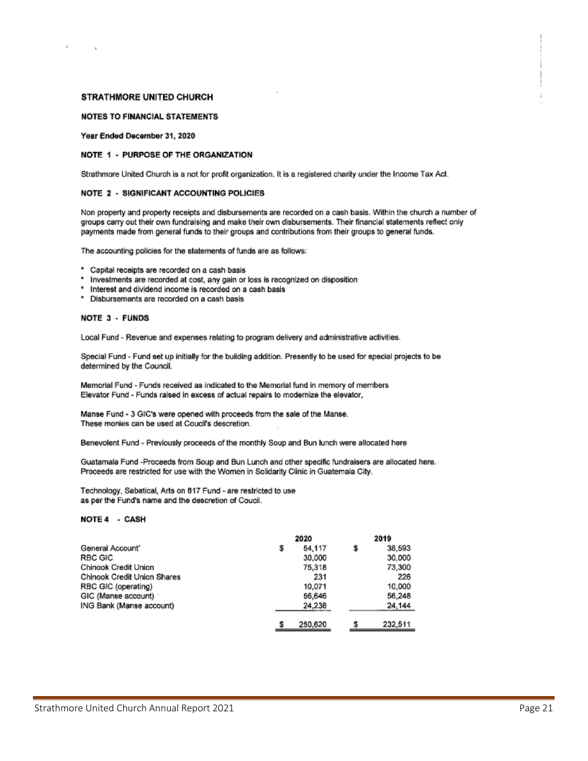#### **NOTES TO FINANCIAL STATEMENTS**

#### Year Ended December 31, 2020

#### NOTE 1 - PURPOSE OF THE ORGANIZATION

Strathmore United Church is a not for profit organization. It is a registered charity under the Income Tax Act.

#### **NOTE 2 - SIGNIFICANT ACCOUNTING POLICIES**

Non property and property receipts and disbursements are recorded on a cash basis. Within the church a number of groups carry out their own fundraising and make their own disbursements. Their financial statements reflect only payments made from general funds to their groups and contributions from their groups to general funds.

The accounting policies for the statements of funds are as follows:

- \* Capital receipts are recorded on a cash basis
- Investments are recorded at cost, any gain or loss is recognized on disposition
- Interest and dividend income is recorded on a cash basis
- \* Disbursements are recorded on a cash basis

#### NOTE 3 - FUNDS

Local Fund - Revenue and expenses relating to program delivery and administrative activities.

Special Fund - Fund set up initially for the building addition. Presently to be used for special projects to be determined by the Council.

Memorial Fund - Funds received as indicated to the Memorial fund in memory of members Elevator Fund - Funds raised in excess of actual repairs to modernize the elevator,

Manse Fund - 3 GIC's were opened with proceeds from the sale of the Manse. These monies can be used at Coucil's descretion.

Benevolent Fund - Previously proceeds of the monthly Soup and Bun lunch were allocated here

Guatamala Fund -Proceeds from Soup and Bun Lunch and other specific fundraisers are allocated here. Proceeds are restricted for use with the Women in Solidarity Clinic in Guatemala City.

Technology, Sabatical, Arts on 817 Fund - are restricted to use as per the Fund's name and the descretion of Coucil.

#### NOTE 4 - CASH

|                             | 2020    |   | 2019    |  |
|-----------------------------|---------|---|---------|--|
| General Account'            | 54,117  | S | 38.593  |  |
| RBC GIC                     | 30,000  |   | 30,000  |  |
| Chinook Credit Union        | 75,318  |   | 73,300  |  |
| Chinook Credit Union Shares | 231     |   | 226     |  |
| RBC GIC (operating)         | 10,071  |   | 10,000  |  |
| GIC (Manse account)         | 56,646  |   | 56,248  |  |
| ING Bank (Manse account)    | 24,238  |   | 24,144  |  |
|                             | 250,620 |   | 232,511 |  |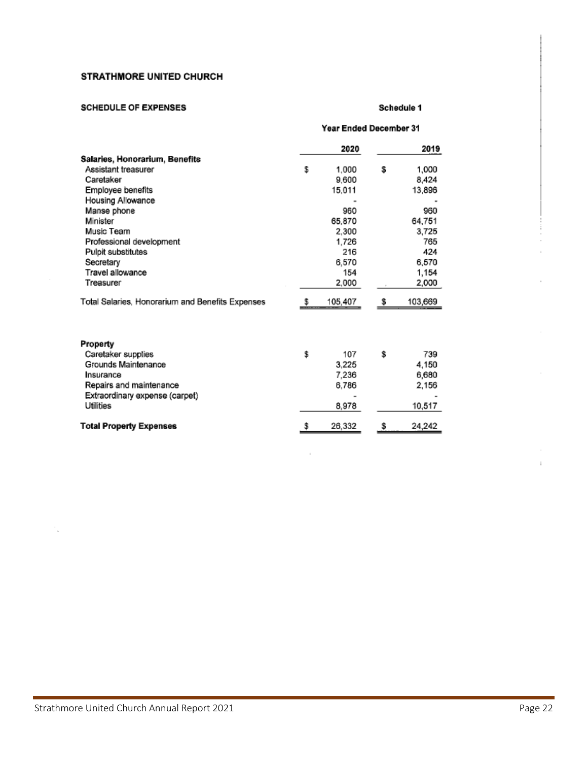#### **SCHEDULE OF EXPENSES**

#### Schedule 1

|                                                  | Year Ended December 31 |         |    |         |
|--------------------------------------------------|------------------------|---------|----|---------|
|                                                  |                        | 2020    |    | 2019    |
| Salaries, Honorarium, Benefits                   |                        |         |    |         |
| Assistant treasurer                              | \$                     | 1.000   | \$ | 1,000   |
| Caretaker                                        |                        | 9.600   |    | 8,424   |
| Employee benefits                                |                        | 15,011  |    | 13,896  |
| Housing Allowance                                |                        |         |    |         |
| Manse phone                                      |                        | 960     |    | 960     |
| Minister                                         |                        | 65.870  |    | 64,751  |
| Music Team                                       |                        | 2.300   |    | 3,725   |
| Professional development                         |                        | 1,726   |    | 765     |
| Pulpit substitutes                               |                        | 216     |    | 424     |
| Secretary                                        |                        | 6,570   |    | 6,570   |
| Travel allowance                                 |                        | 154     |    | 1,154   |
| Treasurer                                        |                        | 2,000   |    | 2,000   |
| Total Salaries, Honorarium and Benefits Expenses | S                      | 105,407 | S  | 103,669 |
| Property                                         |                        |         |    |         |
| Caretaker supplies                               | \$                     | 107     | \$ | 739     |
| Grounds Maintenance                              |                        | 3,225   |    | 4,150   |
| Insurance                                        |                        | 7,236   |    | 6,680   |
| Repairs and maintenance                          |                        | 6.786   |    | 2,156   |
| Extraordinary expense (carpet)                   |                        |         |    |         |
| Utilities                                        |                        | 8,978   |    | 10,517  |
| <b>Total Property Expenses</b>                   | \$                     | 26,332  | \$ | 24,242  |

 $\mathbf{I}$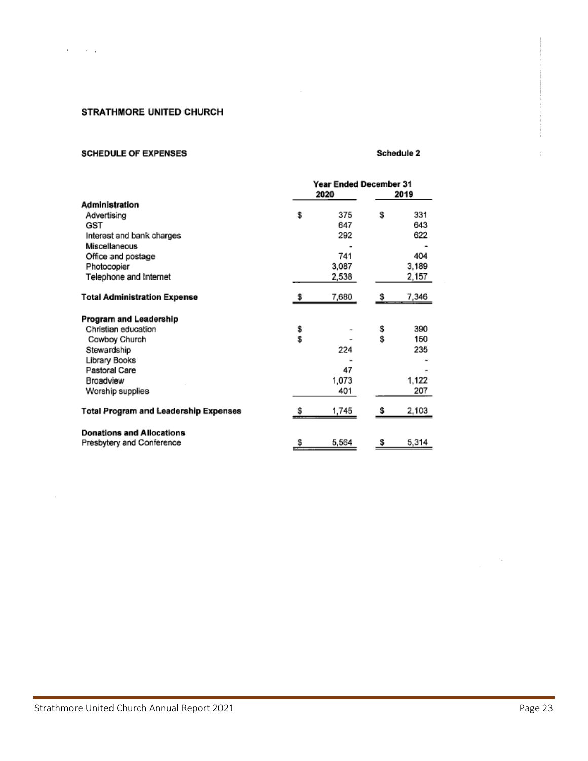$\overline{\phantom{a}}$ 

### STRATHMORE UNITED CHURCH

#### **SCHEDULE OF EXPENSES**

#### Schedule 2

|                                       | Year Ended December 31 |       |      |       |
|---------------------------------------|------------------------|-------|------|-------|
|                                       | 2020                   |       | 2019 |       |
| Administration                        |                        |       |      |       |
| Advertising                           | \$                     | 375   | \$   | 331   |
| GST                                   |                        | 647   |      | 643   |
| Interest and bank charges             |                        | 292   |      | 622   |
| Miscellaneous                         |                        |       |      |       |
| Office and postage                    |                        | 741   |      | 404   |
| Photocopier                           |                        | 3,087 |      | 3,189 |
| Telephone and Internet                |                        | 2,538 |      | 2,157 |
|                                       |                        |       |      |       |
| <b>Total Administration Expense</b>   |                        | 7,680 |      | 7,346 |
| Program and Leadership                |                        |       |      |       |
| Christian education                   |                        |       | \$   | 390   |
| Cowboy Church                         | \$<br>S                |       | \$   | 150   |
| Stewardship                           |                        | 224   |      | 235   |
| Library Books                         |                        |       |      |       |
| Pastoral Care                         |                        | 47    |      |       |
| Broadview                             |                        | 1,073 |      | 1,122 |
|                                       |                        |       |      |       |
| Worship supplies                      |                        | 401   |      | 207   |
| Total Program and Leadership Expenses | s                      | 1,745 |      | 2,103 |
| <b>Donations and Allocations</b>      |                        |       |      |       |
|                                       | \$                     | 5,564 | \$   | 5,314 |
| Presbytery and Conference             |                        |       |      |       |

 $\sim$ 

 $\,$ 

í.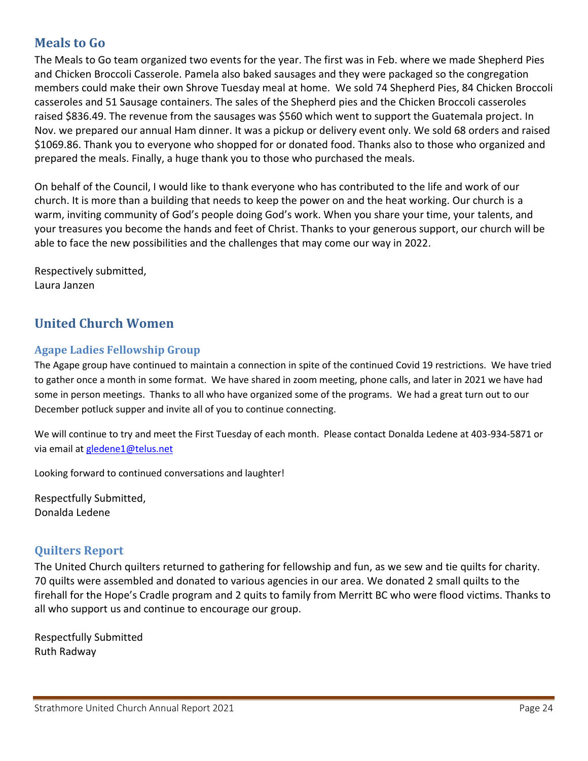# <span id="page-23-0"></span>**Meals to Go**

The Meals to Go team organized two events for the year. The first was in Feb. where we made Shepherd Pies and Chicken Broccoli Casserole. Pamela also baked sausages and they were packaged so the congregation members could make their own Shrove Tuesday meal at home. We sold 74 Shepherd Pies, 84 Chicken Broccoli casseroles and 51 Sausage containers. The sales of the Shepherd pies and the Chicken Broccoli casseroles raised \$836.49. The revenue from the sausages was \$560 which went to support the Guatemala project. In Nov. we prepared our annual Ham dinner. It was a pickup or delivery event only. We sold 68 orders and raised \$1069.86. Thank you to everyone who shopped for or donated food. Thanks also to those who organized and prepared the meals. Finally, a huge thank you to those who purchased the meals.

On behalf of the Council, I would like to thank everyone who has contributed to the life and work of our church. It is more than a building that needs to keep the power on and the heat working. Our church is a warm, inviting community of God's people doing God's work. When you share your time, your talents, and your treasures you become the hands and feet of Christ. Thanks to your generous support, our church will be able to face the new possibilities and the challenges that may come our way in 2022.

Respectively submitted, Laura Janzen

# <span id="page-23-1"></span>**United Church Women**

### <span id="page-23-2"></span>**Agape Ladies Fellowship Group**

The Agape group have continued to maintain a connection in spite of the continued Covid 19 restrictions. We have tried to gather once a month in some format. We have shared in zoom meeting, phone calls, and later in 2021 we have had some in person meetings. Thanks to all who have organized some of the programs. We had a great turn out to our December potluck supper and invite all of you to continue connecting.

We will continue to try and meet the First Tuesday of each month. Please contact Donalda Ledene at 403-934-5871 or via email at [gledene1@telus.net](mailto:gledene1@telus.net)

Looking forward to continued conversations and laughter!

Respectfully Submitted, Donalda Ledene

### <span id="page-23-3"></span>**Quilters Report**

The United Church quilters returned to gathering for fellowship and fun, as we sew and tie quilts for charity. 70 quilts were assembled and donated to various agencies in our area. We donated 2 small quilts to the firehall for the Hope's Cradle program and 2 quits to family from Merritt BC who were flood victims. Thanks to all who support us and continue to encourage our group.

Respectfully Submitted Ruth Radway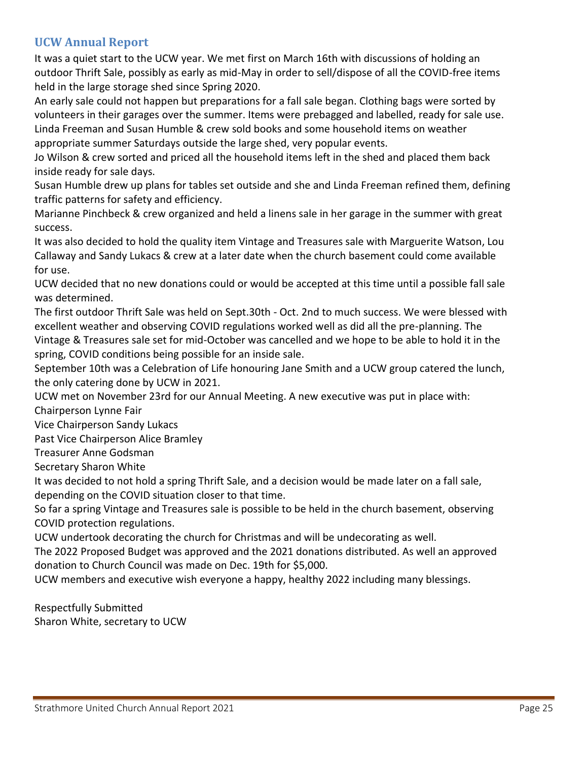## <span id="page-24-0"></span>**UCW Annual Report**

It was a quiet start to the UCW year. We met first on March 16th with discussions of holding an outdoor Thrift Sale, possibly as early as mid-May in order to sell/dispose of all the COVID-free items held in the large storage shed since Spring 2020.

An early sale could not happen but preparations for a fall sale began. Clothing bags were sorted by volunteers in their garages over the summer. Items were prebagged and labelled, ready for sale use. Linda Freeman and Susan Humble & crew sold books and some household items on weather appropriate summer Saturdays outside the large shed, very popular events.

Jo Wilson & crew sorted and priced all the household items left in the shed and placed them back inside ready for sale days.

Susan Humble drew up plans for tables set outside and she and Linda Freeman refined them, defining traffic patterns for safety and efficiency.

Marianne Pinchbeck & crew organized and held a linens sale in her garage in the summer with great success.

It was also decided to hold the quality item Vintage and Treasures sale with Marguerite Watson, Lou Callaway and Sandy Lukacs & crew at a later date when the church basement could come available for use.

UCW decided that no new donations could or would be accepted at this time until a possible fall sale was determined.

The first outdoor Thrift Sale was held on Sept.30th - Oct. 2nd to much success. We were blessed with excellent weather and observing COVID regulations worked well as did all the pre-planning. The Vintage & Treasures sale set for mid-October was cancelled and we hope to be able to hold it in the spring, COVID conditions being possible for an inside sale.

September 10th was a Celebration of Life honouring Jane Smith and a UCW group catered the lunch, the only catering done by UCW in 2021.

UCW met on November 23rd for our Annual Meeting. A new executive was put in place with:

Chairperson Lynne Fair

Vice Chairperson Sandy Lukacs

Past Vice Chairperson Alice Bramley

Treasurer Anne Godsman

Secretary Sharon White

It was decided to not hold a spring Thrift Sale, and a decision would be made later on a fall sale, depending on the COVID situation closer to that time.

So far a spring Vintage and Treasures sale is possible to be held in the church basement, observing COVID protection regulations.

UCW undertook decorating the church for Christmas and will be undecorating as well.

The 2022 Proposed Budget was approved and the 2021 donations distributed. As well an approved donation to Church Council was made on Dec. 19th for \$5,000.

UCW members and executive wish everyone a happy, healthy 2022 including many blessings.

Respectfully Submitted Sharon White, secretary to UCW